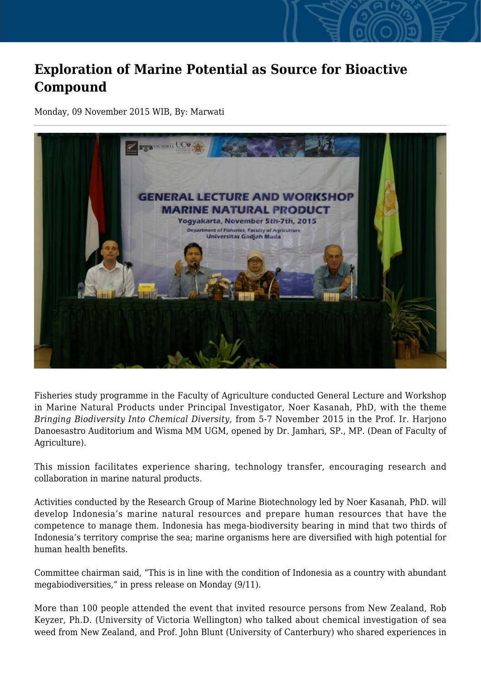## **Exploration of Marine Potential as Source for Bioactive Compound**

Monday, 09 November 2015 WIB, By: Marwati



Fisheries study programme in the Faculty of Agriculture conducted General Lecture and Workshop in Marine Natural Products under Principal Investigator, Noer Kasanah, PhD, with the theme *Bringing Biodiversity Into Chemical Diversity*, from 5-7 November 2015 in the Prof. Ir. Harjono Danoesastro Auditorium and Wisma MM UGM, opened by Dr. Jamhari, SP., MP. (Dean of Faculty of Agriculture).

This mission facilitates experience sharing, technology transfer, encouraging research and collaboration in marine natural products.

Activities conducted by the Research Group of Marine Biotechnology led by Noer Kasanah, PhD. will develop Indonesia's marine natural resources and prepare human resources that have the competence to manage them. Indonesia has mega-biodiversity bearing in mind that two thirds of Indonesia's territory comprise the sea; marine organisms here are diversified with high potential for human health benefits.

Committee chairman said, "This is in line with the condition of Indonesia as a country with abundant megabiodiversities," in press release on Monday (9/11).

More than 100 people attended the event that invited resource persons from New Zealand, Rob Keyzer, Ph.D. (University of Victoria Wellington) who talked about chemical investigation of sea weed from New Zealand, and Prof. John Blunt (University of Canterbury) who shared experiences in